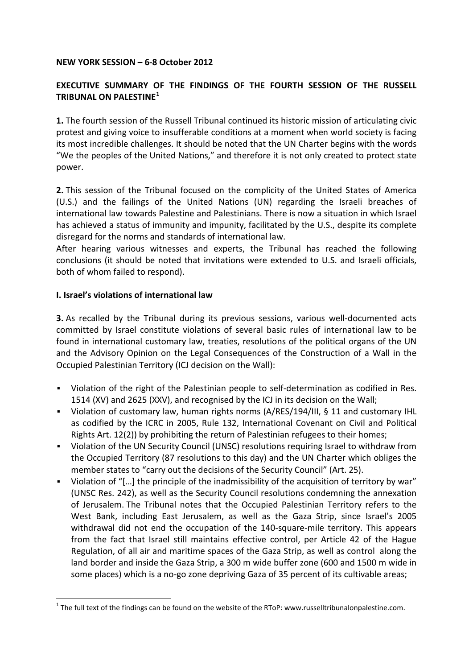#### **NEW YORK SESSION – 6-8 October 2012**

## **EXECUTIVE SUMMARY OF THE FINDINGS OF THE FOURTH SESSION OF THE RUSSELL TRIBUNAL ON PALESTINE[1](#page-0-0)**

**1.** The fourth session of the Russell Tribunal continued its historic mission of articulating civic protest and giving voice to insufferable conditions at a moment when world society is facing its most incredible challenges. It should be noted that the UN Charter begins with the words "We the peoples of the United Nations," and therefore it is not only created to protect state power.

**2.** This session of the Tribunal focused on the complicity of the United States of America (U.S.) and the failings of the United Nations (UN) regarding the Israeli breaches of international law towards Palestine and Palestinians. There is now a situation in which Israel has achieved a status of immunity and impunity, facilitated by the U.S., despite its complete disregard for the norms and standards of international law.

After hearing various witnesses and experts, the Tribunal has reached the following conclusions (it should be noted that invitations were extended to U.S. and Israeli officials, both of whom failed to respond).

#### **I. Israel's violations of international law**

**3.** As recalled by the Tribunal during its previous sessions, various well-documented acts committed by Israel constitute violations of several basic rules of international law to be found in international customary law, treaties, resolutions of the political organs of the UN and the Advisory Opinion on the Legal Consequences of the Construction of a Wall in the Occupied Palestinian Territory (ICJ decision on the Wall):

- Violation of the right of the Palestinian people to self-determination as codified in Res. 1514 (XV) and 2625 (XXV), and recognised by the ICJ in its decision on the Wall;
- Violation of customary law, human rights norms (A/RES/194/III, § 11 and customary IHL as codified by the ICRC in 2005, Rule 132, International Covenant on Civil and Political Rights Art. 12(2)) by prohibiting the return of Palestinian refugees to their homes;
- Violation of the UN Security Council (UNSC) resolutions requiring Israel to withdraw from the Occupied Territory (87 resolutions to this day) and the UN Charter which obliges the member states to "carry out the decisions of the Security Council" (Art. 25).
- Violation of "[…] the principle of the inadmissibility of the acquisition of territory by war" (UNSC Res. 242), as well as the Security Council resolutions condemning the annexation of Jerusalem. The Tribunal notes that the Occupied Palestinian Territory refers to the West Bank, including East Jerusalem, as well as the Gaza Strip, since Israel's 2005 withdrawal did not end the occupation of the 140-square-mile territory. This appears from the fact that Israel still maintains effective control, per Article 42 of the Hague Regulation, of all air and maritime spaces of the Gaza Strip, as well as control along the land border and inside the Gaza Strip, a 300 m wide buffer zone (600 and 1500 m wide in some places) which is a no-go zone depriving Gaza of 35 percent of its cultivable areas;

<span id="page-0-0"></span> $1$  The full text of the findings can be found on the website of the RToP: www.russelltribunalonpalestine.com.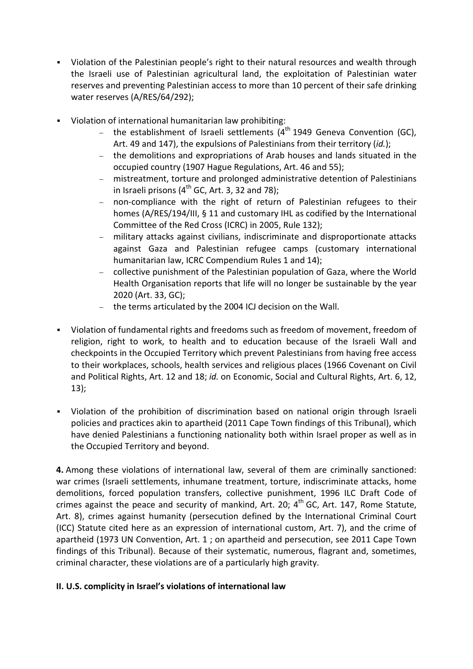- Violation of the Palestinian people's right to their natural resources and wealth through the Israeli use of Palestinian agricultural land, the exploitation of Palestinian water reserves and preventing Palestinian access to more than 10 percent of their safe drinking water reserves (A/RES/64/292);
- Violation of international humanitarian law prohibiting:
	- the establishment of Israeli settlements (4<sup>th</sup> 1949 Geneva Convention (GC), Art. 49 and 147), the expulsions of Palestinians from their territory (*id.*);
	- − the demolitions and expropriations of Arab houses and lands situated in the occupied country (1907 Hague Regulations, Art. 46 and 55);
	- mistreatment, torture and prolonged administrative detention of Palestinians in Israeli prisons ( $4<sup>th</sup>$  GC, Art. 3, 32 and 78);
	- − non-compliance with the right of return of Palestinian refugees to their homes (A/RES/194/III, § 11 and customary IHL as codified by the International Committee of the Red Cross (ICRC) in 2005, Rule 132);
	- − military attacks against civilians, indiscriminate and disproportionate attacks against Gaza and Palestinian refugee camps (customary international humanitarian law, ICRC Compendium Rules 1 and 14);
	- − collective punishment of the Palestinian population of Gaza, where the World Health Organisation reports that life will no longer be sustainable by the year 2020 (Art. 33, GC);
	- − the terms articulated by the 2004 ICJ decision on the Wall.
- Violation of fundamental rights and freedoms such as freedom of movement, freedom of religion, right to work, to health and to education because of the Israeli Wall and checkpoints in the Occupied Territory which prevent Palestinians from having free access to their workplaces, schools, health services and religious places (1966 Covenant on Civil and Political Rights, Art. 12 and 18; *id.* on Economic, Social and Cultural Rights, Art. 6, 12, 13);
- Violation of the prohibition of discrimination based on national origin through Israeli policies and practices akin to apartheid (2011 Cape Town findings of this Tribunal), which have denied Palestinians a functioning nationality both within Israel proper as well as in the Occupied Territory and beyond.

**4.** Among these violations of international law, several of them are criminally sanctioned: war crimes (Israeli settlements, inhumane treatment, torture, indiscriminate attacks, home demolitions, forced population transfers, collective punishment, 1996 ILC Draft Code of crimes against the peace and security of mankind, Art. 20;  $4<sup>th</sup>$  GC, Art. 147, Rome Statute, Art. 8), crimes against humanity (persecution defined by the International Criminal Court (ICC) Statute cited here as an expression of international custom, Art. 7), and the crime of apartheid (1973 UN Convention, Art. 1 ; on apartheid and persecution, see 2011 Cape Town findings of this Tribunal). Because of their systematic, numerous, flagrant and, sometimes, criminal character, these violations are of a particularly high gravity.

## **II. U.S. complicity in Israel's violations of international law**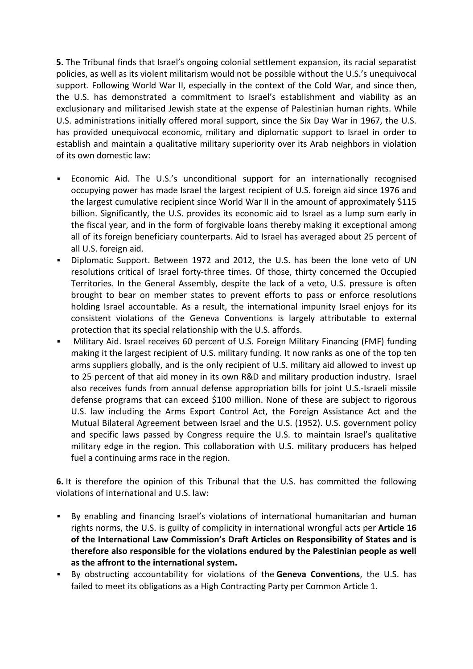**5.** The Tribunal finds that Israel's ongoing colonial settlement expansion, its racial separatist policies, as well as its violent militarism would not be possible without the U.S.'s unequivocal support. Following World War II, especially in the context of the Cold War, and since then, the U.S. has demonstrated a commitment to Israel's establishment and viability as an exclusionary and militarised Jewish state at the expense of Palestinian human rights. While U.S. administrations initially offered moral support, since the Six Day War in 1967, the U.S. has provided unequivocal economic, military and diplomatic support to Israel in order to establish and maintain a qualitative military superiority over its Arab neighbors in violation of its own domestic law:

- Economic Aid. The U.S.'s unconditional support for an internationally recognised occupying power has made Israel the largest recipient of U.S. foreign aid since 1976 and the largest cumulative recipient since World War II in the amount of approximately \$115 billion. Significantly, the U.S. provides its economic aid to Israel as a lump sum early in the fiscal year, and in the form of forgivable loans thereby making it exceptional among all of its foreign beneficiary counterparts. Aid to Israel has averaged about 25 percent of all U.S. foreign aid.
- Diplomatic Support. Between 1972 and 2012, the U.S. has been the lone veto of UN resolutions critical of Israel forty-three times. Of those, thirty concerned the Occupied Territories. In the General Assembly, despite the lack of a veto, U.S. pressure is often brought to bear on member states to prevent efforts to pass or enforce resolutions holding Israel accountable. As a result, the international impunity Israel enjoys for its consistent violations of the Geneva Conventions is largely attributable to external protection that its special relationship with the U.S. affords.
- Military Aid. Israel receives 60 percent of U.S. Foreign Military Financing (FMF) funding making it the largest recipient of U.S. military funding. It now ranks as one of the top ten arms suppliers globally, and is the only recipient of U.S. military aid allowed to invest up to 25 percent of that aid money in its own R&D and military production industry. Israel also receives funds from annual defense appropriation bills for joint U.S.-Israeli missile defense programs that can exceed \$100 million. None of these are subject to rigorous U.S. law including the Arms Export Control Act, the Foreign Assistance Act and the Mutual Bilateral Agreement between Israel and the U.S. (1952). U.S. government policy and specific laws passed by Congress require the U.S. to maintain Israel's qualitative military edge in the region. This collaboration with U.S. military producers has helped fuel a continuing arms race in the region.

**6.** It is therefore the opinion of this Tribunal that the U.S. has committed the following violations of international and U.S. law:

- By enabling and financing Israel's violations of international humanitarian and human rights norms, the U.S. is guilty of complicity in international wrongful acts per **Article 16 of the International Law Commission's Draft Articles on Responsibility of States and is therefore also responsible for the violations endured by the Palestinian people as well as the affront to the international system.**
- By obstructing accountability for violations of the **Geneva Conventions**, the U.S. has failed to meet its obligations as a High Contracting Party per Common Article 1.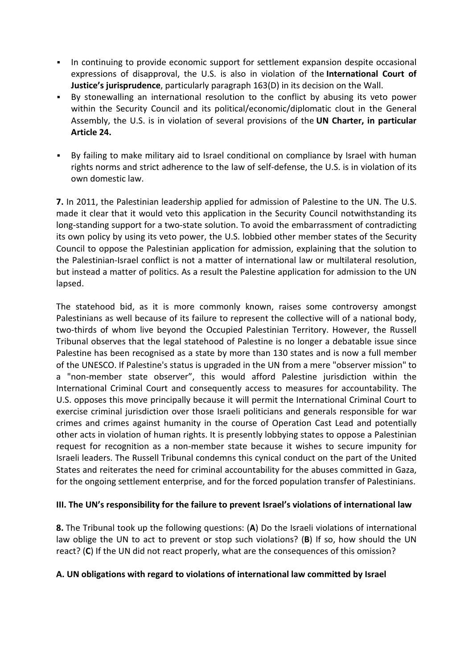- In continuing to provide economic support for settlement expansion despite occasional expressions of disapproval, the U.S. is also in violation of the **International Court of Justice's jurisprudence**, particularly paragraph 163(D) in its decision on the Wall.
- By stonewalling an international resolution to the conflict by abusing its veto power within the Security Council and its political/economic/diplomatic clout in the General Assembly, the U.S. is in violation of several provisions of the **UN Charter, in particular Article 24.**
- By failing to make military aid to Israel conditional on compliance by Israel with human rights norms and strict adherence to the law of self-defense, the U.S. is in violation of its own domestic law.

**7.** In 2011, the Palestinian leadership applied for admission of Palestine to the UN. The U.S. made it clear that it would veto this application in the Security Council notwithstanding its long-standing support for a two-state solution. To avoid the embarrassment of contradicting its own policy by using its veto power, the U.S. lobbied other member states of the Security Council to oppose the Palestinian application for admission, explaining that the solution to the Palestinian-Israel conflict is not a matter of international law or multilateral resolution, but instead a matter of politics. As a result the Palestine application for admission to the UN lapsed.

The statehood bid, as it is more commonly known, raises some controversy amongst Palestinians as well because of its failure to represent the collective will of a national body, two-thirds of whom live beyond the Occupied Palestinian Territory. However, the Russell Tribunal observes that the legal statehood of Palestine is no longer a debatable issue since Palestine has been recognised as a state by more than 130 states and is now a full member of the UNESCO. If Palestine's status is upgraded in the UN from a mere "observer mission" to a "non-member state observer", this would afford Palestine jurisdiction within the International Criminal Court and consequently access to measures for accountability. The U.S. opposes this move principally because it will permit the International Criminal Court to exercise criminal jurisdiction over those Israeli politicians and generals responsible for war crimes and crimes against humanity in the course of Operation Cast Lead and potentially other acts in violation of human rights. It is presently lobbying states to oppose a Palestinian request for recognition as a non-member state because it wishes to secure impunity for Israeli leaders. The Russell Tribunal condemns this cynical conduct on the part of the United States and reiterates the need for criminal accountability for the abuses committed in Gaza, for the ongoing settlement enterprise, and for the forced population transfer of Palestinians.

# **III. The UN's responsibility for the failure to prevent Israel's violations of international law**

**8.** The Tribunal took up the following questions: (**A**) Do the Israeli violations of international law oblige the UN to act to prevent or stop such violations? (**B**) If so, how should the UN react? (**C**) If the UN did not react properly, what are the consequences of this omission?

## **A. UN obligations with regard to violations of international law committed by Israel**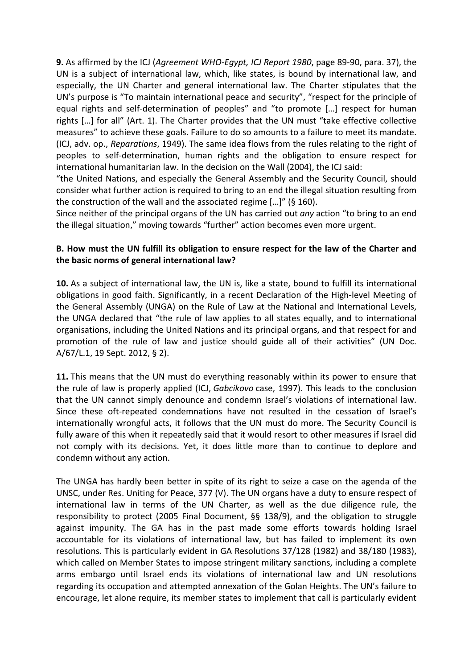**9.** As affirmed by the ICJ (*Agreement WHO-Egypt, ICJ Report 1980*, page 89-90, para. 37), the UN is a subject of international law, which, like states, is bound by international law, and especially, the UN Charter and general international law. The Charter stipulates that the UN's purpose is "To maintain international peace and security", "respect for the principle of equal rights and self-determination of peoples" and "to promote […] respect for human rights […] for all" (Art. 1). The Charter provides that the UN must "take effective collective measures" to achieve these goals. Failure to do so amounts to a failure to meet its mandate. (ICJ, adv. op., *Reparations*, 1949). The same idea flows from the rules relating to the right of peoples to self-determination, human rights and the obligation to ensure respect for international humanitarian law. In the decision on the Wall (2004), the ICJ said:

"the United Nations, and especially the General Assembly and the Security Council, should consider what further action is required to bring to an end the illegal situation resulting from the construction of the wall and the associated regime […]" (§ 160).

Since neither of the principal organs of the UN has carried out *any* action "to bring to an end the illegal situation," moving towards "further" action becomes even more urgent.

# **B. How must the UN fulfill its obligation to ensure respect for the law of the Charter and the basic norms of general international law?**

**10.** As a subject of international law, the UN is, like a state, bound to fulfill its international obligations in good faith. Significantly, in a recent Declaration of the High-level Meeting of the General Assembly (UNGA) on the Rule of Law at the National and International Levels, the UNGA declared that "the rule of law applies to all states equally, and to international organisations, including the United Nations and its principal organs, and that respect for and promotion of the rule of law and justice should guide all of their activities" (UN Doc. A/67/L.1, 19 Sept. 2012, § 2).

**11.** This means that the UN must do everything reasonably within its power to ensure that the rule of law is properly applied (ICJ, *Gabcikovo* case, 1997). This leads to the conclusion that the UN cannot simply denounce and condemn Israel's violations of international law. Since these oft-repeated condemnations have not resulted in the cessation of Israel's internationally wrongful acts, it follows that the UN must do more. The Security Council is fully aware of this when it repeatedly said that it would resort to other measures if Israel did not comply with its decisions. Yet, it does little more than to continue to deplore and condemn without any action.

The UNGA has hardly been better in spite of its right to seize a case on the agenda of the UNSC, under Res. Uniting for Peace, 377 (V). The UN organs have a duty to ensure respect of international law in terms of the UN Charter, as well as the due diligence rule, the responsibility to protect (2005 Final Document, §§ 138/9), and the obligation to struggle against impunity. The GA has in the past made some efforts towards holding Israel accountable for its violations of international law, but has failed to implement its own resolutions. This is particularly evident in GA Resolutions 37/128 (1982) and 38/180 (1983), which called on Member States to impose stringent military sanctions, including a complete arms embargo until Israel ends its violations of international law and UN resolutions regarding its occupation and attempted annexation of the Golan Heights. The UN's failure to encourage, let alone require, its member states to implement that call is particularly evident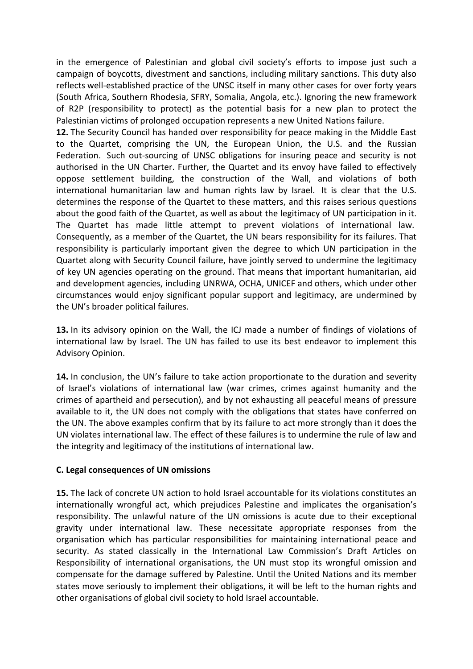in the emergence of Palestinian and global civil society's efforts to impose just such a campaign of boycotts, divestment and sanctions, including military sanctions. This duty also reflects well-established practice of the UNSC itself in many other cases for over forty years (South Africa, Southern Rhodesia, SFRY, Somalia, Angola, etc.). Ignoring the new framework of R2P (responsibility to protect) as the potential basis for a new plan to protect the Palestinian victims of prolonged occupation represents a new United Nations failure.

**12.** The Security Council has handed over responsibility for peace making in the Middle East to the Quartet, comprising the UN, the European Union, the U.S. and the Russian Federation. Such out-sourcing of UNSC obligations for insuring peace and security is not authorised in the UN Charter. Further, the Quartet and its envoy have failed to effectively oppose settlement building, the construction of the Wall, and violations of both international humanitarian law and human rights law by Israel. It is clear that the U.S. determines the response of the Quartet to these matters, and this raises serious questions about the good faith of the Quartet, as well as about the legitimacy of UN participation in it. The Quartet has made little attempt to prevent violations of international law. Consequently, as a member of the Quartet, the UN bears responsibility for its failures. That responsibility is particularly important given the degree to which UN participation in the Quartet along with Security Council failure, have jointly served to undermine the legitimacy of key UN agencies operating on the ground. That means that important humanitarian, aid and development agencies, including UNRWA, OCHA, UNICEF and others, which under other circumstances would enjoy significant popular support and legitimacy, are undermined by the UN's broader political failures.

**13.** In its advisory opinion on the Wall, the ICJ made a number of findings of violations of international law by Israel. The UN has failed to use its best endeavor to implement this Advisory Opinion.

**14.** In conclusion, the UN's failure to take action proportionate to the duration and severity of Israel's violations of international law (war crimes, crimes against humanity and the crimes of apartheid and persecution), and by not exhausting all peaceful means of pressure available to it, the UN does not comply with the obligations that states have conferred on the UN. The above examples confirm that by its failure to act more strongly than it does the UN violates international law. The effect of these failures is to undermine the rule of law and the integrity and legitimacy of the institutions of international law.

#### **C. Legal consequences of UN omissions**

**15.** The lack of concrete UN action to hold Israel accountable for its violations constitutes an internationally wrongful act, which prejudices Palestine and implicates the organisation's responsibility. The unlawful nature of the UN omissions is acute due to their exceptional gravity under international law. These necessitate appropriate responses from the organisation which has particular responsibilities for maintaining international peace and security. As stated classically in the International Law Commission's Draft Articles on Responsibility of international organisations, the UN must stop its wrongful omission and compensate for the damage suffered by Palestine. Until the United Nations and its member states move seriously to implement their obligations, it will be left to the human rights and other organisations of global civil society to hold Israel accountable.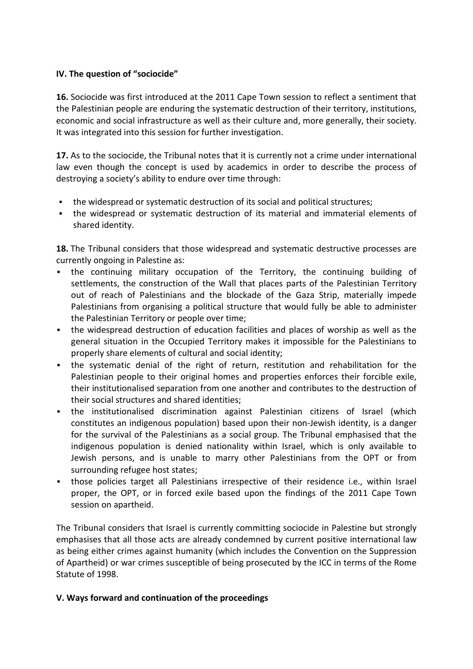#### **IV. The question of "sociocide"**

**16.** Sociocide was first introduced at the 2011 Cape Town session to reflect a sentiment that the Palestinian people are enduring the systematic destruction of their territory, institutions, economic and social infrastructure as well as their culture and, more generally, their society. It was integrated into this session for further investigation.

**17.** As to the sociocide, the Tribunal notes that it is currently not a crime under international law even though the concept is used by academics in order to describe the process of destroying a society's ability to endure over time through:

- the widespread or systematic destruction of its social and political structures;
- the widespread or systematic destruction of its material and immaterial elements of shared identity.

**18.** The Tribunal considers that those widespread and systematic destructive processes are currently ongoing in Palestine as:

- the continuing military occupation of the Territory, the continuing building of settlements, the construction of the Wall that places parts of the Palestinian Territory out of reach of Palestinians and the blockade of the Gaza Strip, materially impede Palestinians from organising a political structure that would fully be able to administer the Palestinian Territory or people over time;
- the widespread destruction of education facilities and places of worship as well as the general situation in the Occupied Territory makes it impossible for the Palestinians to properly share elements of cultural and social identity;
- the systematic denial of the right of return, restitution and rehabilitation for the Palestinian people to their original homes and properties enforces their forcible exile, their institutionalised separation from one another and contributes to the destruction of their social structures and shared identities;
- the institutionalised discrimination against Palestinian citizens of Israel (which constitutes an indigenous population) based upon their non-Jewish identity, is a danger for the survival of the Palestinians as a social group. The Tribunal emphasised that the indigenous population is denied nationality within Israel, which is only available to Jewish persons, and is unable to marry other Palestinians from the OPT or from surrounding refugee host states;
- those policies target all Palestinians irrespective of their residence i.e., within Israel proper, the OPT, or in forced exile based upon the findings of the 2011 Cape Town session on apartheid.

The Tribunal considers that Israel is currently committing sociocide in Palestine but strongly emphasises that all those acts are already condemned by current positive international law as being either crimes against humanity (which includes the Convention on the Suppression of Apartheid) or war crimes susceptible of being prosecuted by the ICC in terms of the Rome Statute of 1998.

## **V. Ways forward and continuation of the proceedings**